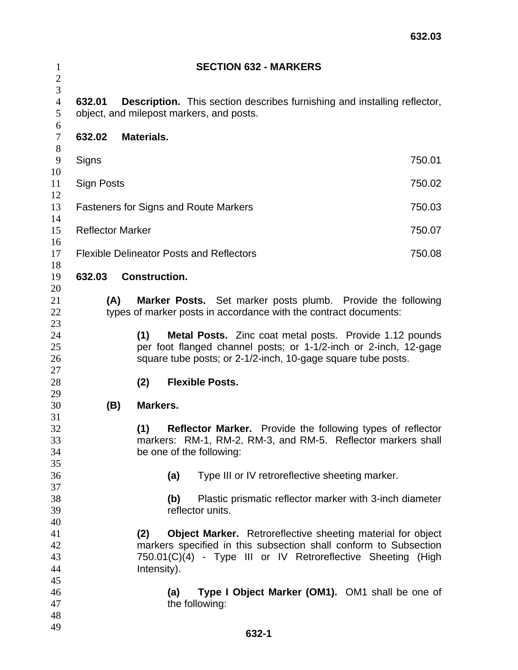| $\mathbf{1}$<br>$\overline{c}$        |                                                                                                                                                                      | <b>SECTION 632 - MARKERS</b>                                                                                                                                                                                                 |  |  |  |  |
|---------------------------------------|----------------------------------------------------------------------------------------------------------------------------------------------------------------------|------------------------------------------------------------------------------------------------------------------------------------------------------------------------------------------------------------------------------|--|--|--|--|
| $\overline{3}$<br>$\overline{4}$<br>5 | <b>Description.</b> This section describes furnishing and installing reflector,<br>632.01<br>object, and milepost markers, and posts.                                |                                                                                                                                                                                                                              |  |  |  |  |
| 6<br>$\boldsymbol{7}$<br>8            | 632.02                                                                                                                                                               | <b>Materials.</b>                                                                                                                                                                                                            |  |  |  |  |
| 9<br>10                               | Signs                                                                                                                                                                | 750.01                                                                                                                                                                                                                       |  |  |  |  |
| 11<br>12                              | 750.02<br>Sign Posts                                                                                                                                                 |                                                                                                                                                                                                                              |  |  |  |  |
| 13<br>14                              |                                                                                                                                                                      | 750.03<br><b>Fasteners for Signs and Route Markers</b>                                                                                                                                                                       |  |  |  |  |
| 15<br>16                              | <b>Reflector Marker</b><br>750.07                                                                                                                                    |                                                                                                                                                                                                                              |  |  |  |  |
| 17<br>18                              |                                                                                                                                                                      | <b>Flexible Delineator Posts and Reflectors</b><br>750.08                                                                                                                                                                    |  |  |  |  |
| 19<br>20                              | 632.03                                                                                                                                                               | <b>Construction.</b>                                                                                                                                                                                                         |  |  |  |  |
| 21<br>22                              |                                                                                                                                                                      | (A)<br>Marker Posts. Set marker posts plumb. Provide the following<br>types of marker posts in accordance with the contract documents:                                                                                       |  |  |  |  |
| 23<br>24<br>25<br>26                  |                                                                                                                                                                      | (1)<br><b>Metal Posts.</b> Zinc coat metal posts. Provide 1.12 pounds<br>per foot flanged channel posts; or 1-1/2-inch or 2-inch, 12-gage<br>square tube posts; or 2-1/2-inch, 10-gage square tube posts.                    |  |  |  |  |
| 27<br>28<br>29                        |                                                                                                                                                                      | <b>Flexible Posts.</b><br>(2)                                                                                                                                                                                                |  |  |  |  |
| 30<br>31                              | (B)                                                                                                                                                                  | Markers.                                                                                                                                                                                                                     |  |  |  |  |
| 32<br>33<br>34<br>35                  | <b>Reflector Marker.</b> Provide the following types of reflector<br>(1)<br>markers: RM-1, RM-2, RM-3, and RM-5. Reflector markers shall<br>be one of the following: |                                                                                                                                                                                                                              |  |  |  |  |
| 36<br>37                              |                                                                                                                                                                      | Type III or IV retroreflective sheeting marker.<br>(a)                                                                                                                                                                       |  |  |  |  |
| 38<br>39<br>40                        |                                                                                                                                                                      | Plastic prismatic reflector marker with 3-inch diameter<br>(b)<br>reflector units.                                                                                                                                           |  |  |  |  |
| 41<br>42<br>43<br>44<br>45            |                                                                                                                                                                      | <b>Object Marker.</b> Retroreflective sheeting material for object<br>(2)<br>markers specified in this subsection shall conform to Subsection<br>750.01(C)(4) - Type III or IV Retroreflective Sheeting (High<br>Intensity). |  |  |  |  |
| 46<br>47<br>48                        |                                                                                                                                                                      | Type I Object Marker (OM1). OM1 shall be one of<br>(a)<br>the following:                                                                                                                                                     |  |  |  |  |
| 49                                    |                                                                                                                                                                      |                                                                                                                                                                                                                              |  |  |  |  |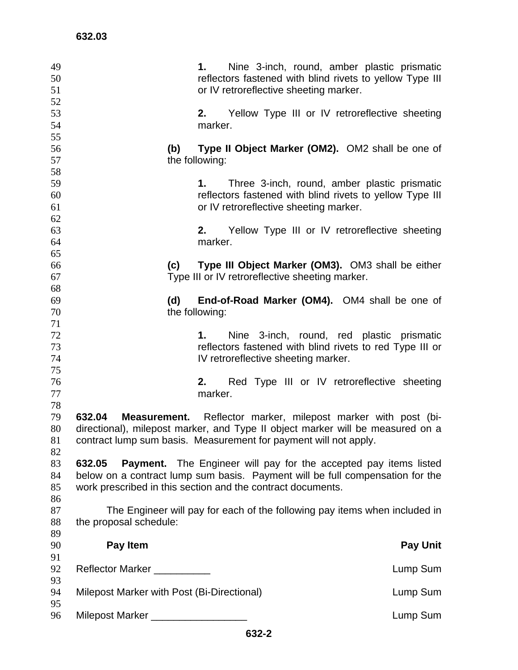| 49<br>50<br>51<br>52 |                                                                                                                                                                                                                                   | Nine 3-inch, round, amber plastic prismatic<br>1.<br>reflectors fastened with blind rivets to yellow Type III<br>or IV retroreflective sheeting marker.                                                             |  |  |  |
|----------------------|-----------------------------------------------------------------------------------------------------------------------------------------------------------------------------------------------------------------------------------|---------------------------------------------------------------------------------------------------------------------------------------------------------------------------------------------------------------------|--|--|--|
| 53<br>54<br>55       |                                                                                                                                                                                                                                   | Yellow Type III or IV retroreflective sheeting<br>2.<br>marker.                                                                                                                                                     |  |  |  |
| 56<br>57<br>58       | (b)                                                                                                                                                                                                                               | Type II Object Marker (OM2). OM2 shall be one of<br>the following:                                                                                                                                                  |  |  |  |
| 59<br>60<br>61       |                                                                                                                                                                                                                                   | Three 3-inch, round, amber plastic prismatic<br>1.<br>reflectors fastened with blind rivets to yellow Type III<br>or IV retroreflective sheeting marker.                                                            |  |  |  |
| 62<br>63<br>64       |                                                                                                                                                                                                                                   | Yellow Type III or IV retroreflective sheeting<br>2.<br>marker.                                                                                                                                                     |  |  |  |
| 65<br>66<br>67       | (c)                                                                                                                                                                                                                               | Type III Object Marker (OM3). OM3 shall be either<br>Type III or IV retroreflective sheeting marker.                                                                                                                |  |  |  |
| 68<br>69<br>70       | (d)                                                                                                                                                                                                                               | End-of-Road Marker (OM4). OM4 shall be one of<br>the following:                                                                                                                                                     |  |  |  |
| 71<br>72<br>73<br>74 |                                                                                                                                                                                                                                   | Nine 3-inch, round, red plastic prismatic<br>1.<br>reflectors fastened with blind rivets to red Type III or<br>IV retroreflective sheeting marker.                                                                  |  |  |  |
| 75<br>76<br>77<br>78 |                                                                                                                                                                                                                                   | Red Type III or IV retroreflective sheeting<br>2.<br>marker.                                                                                                                                                        |  |  |  |
| 79<br>80<br>81<br>82 | 632.04                                                                                                                                                                                                                            | Measurement. Reflector marker, milepost marker with post (bi-<br>directional), milepost marker, and Type II object marker will be measured on a<br>contract lump sum basis. Measurement for payment will not apply. |  |  |  |
| 83<br>84<br>85<br>86 | 632.05<br><b>Payment.</b> The Engineer will pay for the accepted pay items listed<br>below on a contract lump sum basis. Payment will be full compensation for the<br>work prescribed in this section and the contract documents. |                                                                                                                                                                                                                     |  |  |  |
| 87<br>88<br>89       | the proposal schedule:                                                                                                                                                                                                            | The Engineer will pay for each of the following pay items when included in                                                                                                                                          |  |  |  |
| 90<br>91             | Pay Item                                                                                                                                                                                                                          | <b>Pay Unit</b>                                                                                                                                                                                                     |  |  |  |
| 92                   | Reflector Marker                                                                                                                                                                                                                  | Lump Sum                                                                                                                                                                                                            |  |  |  |
| 93<br>94             | Milepost Marker with Post (Bi-Directional)                                                                                                                                                                                        | Lump Sum                                                                                                                                                                                                            |  |  |  |
| 95<br>96             | Milepost Marker ______________________                                                                                                                                                                                            | Lump Sum                                                                                                                                                                                                            |  |  |  |